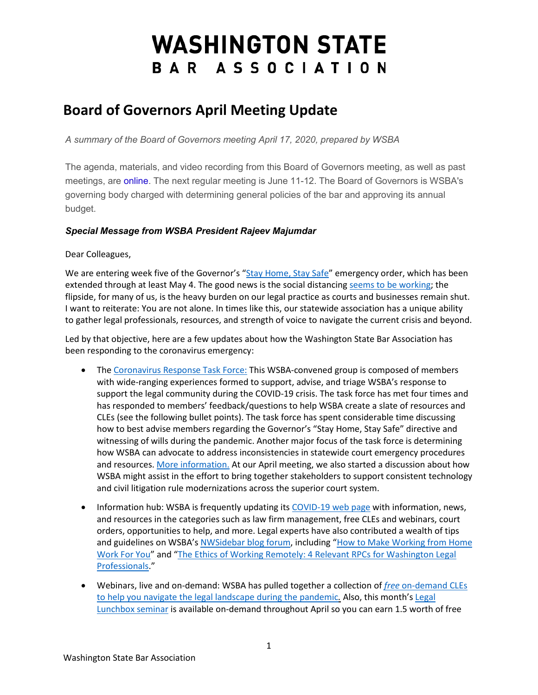# **WASHINGTON STATE** BAR ASSOCIATION

# **Board of Governors April Meeting Update**

*A summary of the Board of Governors meeting April 17, 2020, prepared by WSBA* 

The agenda, materials, and video recording from this Board of Governors meeting, as well as past meetings, are [online.](http://wsba.informz.net/z/cjUucD9taT0yODQ3MDc0JnA9MSZ1PTM3NzEzNjQ5MCZsaT0yMTk5ODc0Ng/index.html) The next regular meeting is June 11-12. The Board of Governors is WSBA's governing body charged with determining general policies of the bar and approving its annual budget.

## *Special Message from WSBA President Rajeev Majumdar*

Dear Colleagues,

We are entering week five of the Governor's ["Stay Home, Stay Safe"](https://www.governor.wa.gov/sites/default/files/proclamations/20-25%20Coronovirus%20Stay%20Safe-Stay%20Healthy%20%28tmp%29%20%28002%29.pdf) emergency order, which has been extended through at least May 4. The good news is the social distancin[g seems to be working;](https://covid.idmod.org/data/Physical_distancing_working_and_still_needed_to_prevent_COVID-19_resurgence.pdf) the flipside, for many of us, is the heavy burden on our legal practice as courts and businesses remain shut. I want to reiterate: You are not alone. In times like this, our statewide association has a unique ability to gather legal professionals, resources, and strength of voice to navigate the current crisis and beyond.

Led by that objective, here are a few updates about how the Washington State Bar Association has been responding to the coronavirus emergency:

- The [Coronavirus Response Task Force:](https://www.wsba.org/for-legal-professionals/member-support/covid-19/covid-19-response-task-force) This WSBA-convened group is composed of members with wide-ranging experiences formed to support, advise, and triage WSBA's response to support the legal community during the COVID-19 crisis. The task force has met four times and has responded to members' feedback/questions to help WSBA create a slate of resources and CLEs (see the following bullet points). The task force has spent considerable time discussing how to best advise members regarding the Governor's "Stay Home, Stay Safe" directive and witnessing of wills during the pandemic. Another major focus of the task force is determining how WSBA can advocate to address inconsistencies in statewide court emergency procedures and resources. [More information.](https://www.wsba.org/for-legal-professionals/member-support/covid-19/covid-19-response-task-force) At our April meeting, we also started a discussion about how WSBA might assist in the effort to bring together stakeholders to support consistent technology and civil litigation rule modernizations across the superior court system.
- Information hub: WSBA is frequently updating its [COVID-19 web page](https://www.wsba.org/for-legal-professionals/member-support/covid-19) with information, news, and resources in the categories such as law firm management, free CLEs and webinars, court orders, opportunities to help, and more. Legal experts have also contributed a wealth of tips and guidelines on WSBA's [NWSidebar blog forum,](https://nwsidebar.wsba.org/) including "How [to Make Working from Home](https://nwsidebar.wsba.org/2020/04/02/how-to-make-working-at-home-work-for-you/)  [Work For You"](https://nwsidebar.wsba.org/2020/04/02/how-to-make-working-at-home-work-for-you/) and ["The Ethics of Working Remotely: 4 Relevant RPCs for Washington Legal](https://nwsidebar.wsba.org/2020/04/09/the-ethics-of-working-remotely-4-relevant-rpcs-for-washington-legal-professionals/)  [Professionals.](https://nwsidebar.wsba.org/2020/04/09/the-ethics-of-working-remotely-4-relevant-rpcs-for-washington-legal-professionals/)"
- Webinars, live and on-demand: WSBA has pulled together a collection of *free* [on-demand CLEs](https://www.mywsba.org/PersonifyEbusiness/Default.aspx?TabID=1563#filter=%7B%22Facet%22%3Anull,%22SubFacet%22%3Anull,%22Category%22%3Anull,%22SubCategory%22%3Anull%7D&searchTerm=&searchItemNameTerm=&searchDescriptionTerm=&productClass=)  [to help you navigate the legal landscape during the pandemic](https://www.mywsba.org/PersonifyEbusiness/Default.aspx?TabID=1563#filter=%7B%22Facet%22%3Anull,%22SubFacet%22%3Anull,%22Category%22%3Anull,%22SubCategory%22%3Anull%7D&searchTerm=&searchItemNameTerm=&searchDescriptionTerm=&productClass=)*.* Also, this month's [Legal](https://www.mywsba.org/PersonifyEbusiness/CLEStore/Legal-Lunchbox-Series-Trauma-Burnout-and-Self-Care--A-Way-Through/ProductDetail/17755278)  [Lunchbox seminar](https://www.mywsba.org/PersonifyEbusiness/CLEStore/Legal-Lunchbox-Series-Trauma-Burnout-and-Self-Care--A-Way-Through/ProductDetail/17755278) is available on-demand throughout April so you can earn 1.5 worth of free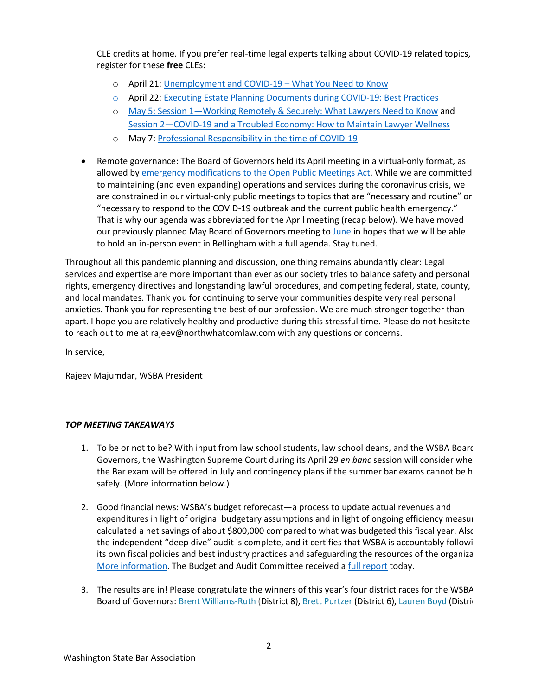CLE credits at home. If you prefer real-time legal experts talking about COVID-19 related topics, register for these **free** CLEs:

- o April 21: [Unemployment and COVID-19 –](https://www.mywsba.org/PersonifyEbusiness/CLEStore/CLECalendar/MeetingDetails.aspx?productId=17864047) What You Need to Know
- o April 22: [Executing Estate Planning Documents during COVID-19: Best Practices](https://www.mywsba.org/PersonifyEbusiness/WEBINAR-Executing-Estate-Planning-Documents-During-COVID-19-Best-Practices/MeetingDetail/17870840)
- o May 5: [Session 1—Working Remotely & Securely: What Lawyers Need to Know](https://www.mywsba.org/PersonifyEbusiness/CLEStore/CLECalendar/MeetingDetails.aspx?productId=17878439) and [Session 2—COVID-19 and a Troubled Economy: How to Maintain Lawyer Wellness](https://www.mywsba.org/PersonifyEbusiness/CLEStore/CLECalendar/MeetingDetails.aspx?productId=17878439)
- o May 7[: Professional Responsibility in the time of COVID-19](https://www.mywsba.org/PersonifyEbusiness/WEBINAR-Professional-Responsibility-in-the-Time-of-COVID-19/MeetingDetail/17866849)
- Remote governance: The Board of Governors held its April meeting in a virtual-only format, as allowed by [emergency modifications to the Open Public Meetings Act.](https://www.governor.wa.gov/sites/default/files/proclamations/20-28%20-%20COVID-19%20Open%20Govt%20Laws%20Waivers%20%28tmp%29.pdf) While we are committed to maintaining (and even expanding) operations and services during the coronavirus crisis, we are constrained in our virtual-only public meetings to topics that are "necessary and routine" or "necessary to respond to the COVID-19 outbreak and the current public health emergency." That is why our agenda was abbreviated for the April meeting (recap below). We have moved our previously planned May Board of Governors meeting to [June](https://www.wsba.org/docs/default-source/about-wsba/governance/2019-2020-bog-meeting-schedule--revised-9-30-19.pdf?sfvrsn=b8370df1_16) in hopes that we will be able to hold an in-person event in Bellingham with a full agenda. Stay tuned.

Throughout all this pandemic planning and discussion, one thing remains abundantly clear: Legal services and expertise are more important than ever as our society tries to balance safety and personal rights, emergency directives and longstanding lawful procedures, and competing federal, state, county, and local mandates. Thank you for continuing to serve your communities despite very real personal anxieties. Thank you for representing the best of our profession. We are much stronger together than apart. I hope you are relatively healthy and productive during this stressful time. Please do not hesitate to reach out to me at rajeev@northwhatcomlaw.com with any questions or concerns.

In service,

Rajeev Majumdar, WSBA President

### *TOP MEETING TAKEAWAYS*

- 1. To be or not to be? With input from law school students, law school deans, and the WSBA Board Governors, the Washington Supreme Court during its April 29 *en banc* session will consider whe the Bar exam will be offered in July and contingency plans if the summer bar exams cannot be h safely. (More information below.)
- 2. Good financial news: WSBA's budget reforecast—a process to update actual revenues and expenditures in light of original budgetary assumptions and in light of ongoing efficiency measur calculated a net savings of about \$800,000 compared to what was budgeted this fiscal year. Also the independent "deep dive" audit is complete, and it certifies that WSBA is accountably followi its own fiscal policies and best industry practices and safeguarding the resources of the organiza [More information.](https://wabarnews.wsba.org/wabarnews/apr_may_2020/MobilePagedReplica.action?pm=2&folio=14#pg16) The Budget and Audit Committee received a [full report](https://www.wsba.org/docs/default-source/legal-community/committees/budget-and-audit-committee/final-materials.pdf?sfvrsn=953c0ef1_0) today.
- 3. The results are in! Please congratulate the winners of this year's four district races for the WSBA Board of Governors: [Brent Williams-Ruth](https://www.mywsba.org/PersonifyEbusiness/LegalDirectory/LegalProfile.aspx?Usr_ID=000000032437) (District 8)[, Brett Purtzer](https://www.mywsba.org/PersonifyEbusiness/LegalDirectory/LegalProfile.aspx?Usr_ID=000000017283) (District 6)[, Lauren Boyd](https://www.mywsba.org/PersonifyEbusiness/LegalDirectory/LegalProfile.aspx?Usr_ID=000000050016) (Distric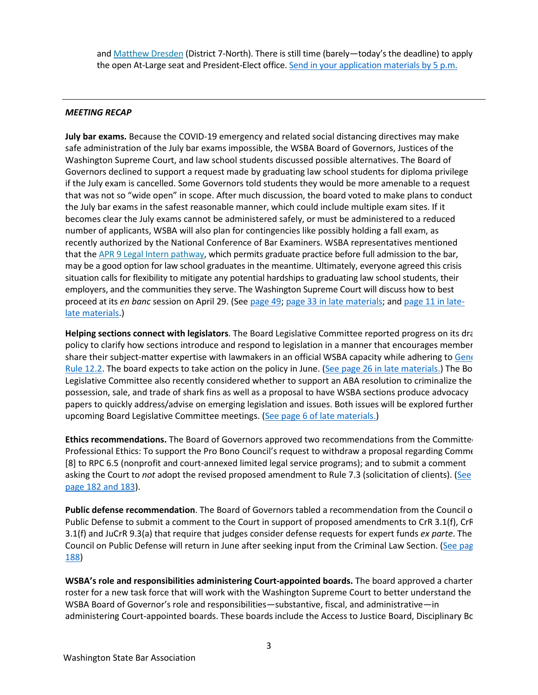and [Matthew Dresden](https://www.mywsba.org/PersonifyEbusiness/LegalDirectory/LegalProfile.aspx?Usr_ID=000000039064) (District 7-North). There is still time (barely—today's the deadline) to apply the open At-Large seat and President-Elect office. [Send in your application materials by 5 p.m.](https://www.wsba.org/about-wsba/who-we-are/board-elections)

#### *MEETING RECAP*

**July bar exams.** Because the COVID-19 emergency and related social distancing directives may make safe administration of the July bar exams impossible, the WSBA Board of Governors, Justices of the Washington Supreme Court, and law school students discussed possible alternatives. The Board of Governors declined to support a request made by graduating law school students for diploma privilege if the July exam is cancelled. Some Governors told students they would be more amenable to a request that was not so "wide open" in scope. After much discussion, the board voted to make plans to conduct the July bar exams in the safest reasonable manner, which could include multiple exam sites. If it becomes clear the July exams cannot be administered safely, or must be administered to a reduced number of applicants, WSBA will also plan for contingencies like possibly holding a fall exam, as recently authorized by the National Conference of Bar Examiners. WSBA representatives mentioned that the [APR 9 Legal Intern pathway,](https://www.wsba.org/for-legal-professionals/join-the-legal-profession-in-wa/rule-9-licensed-legal-interns) which permits graduate practice before full admission to the bar, may be a good option for law school graduates in the meantime. Ultimately, everyone agreed this crisis situation calls for flexibility to mitigate any potential hardships to graduating law school students, their employers, and the communities they serve. The Washington Supreme Court will discuss how to best proceed at its *en banc* session on April 29. (Se[e page 49;](https://www.wsba.org/docs/default-source/about-wsba/governance/bog-meeting-materials-2019-2020/board-of-governors-meeting-materials-april-2020.pdf?sfvrsn=fe1c0ef1_4) [page 33 in late materials;](https://www.wsba.org/docs/default-source/about-wsba/governance/bog-meeting-materials-2019-2020/board-of-governors-late-materials-april-2020.pdf?sfvrsn=35030ef1_4) and [page 11 in late](https://www.wsba.org/docs/default-source/about-wsba/governance/bog-meeting-materials-2019-2020/board-of-governors-late-late-materials-april-2020.pdf?sfvrsn=e23c0ef1_4)[late materials.](https://www.wsba.org/docs/default-source/about-wsba/governance/bog-meeting-materials-2019-2020/board-of-governors-late-late-materials-april-2020.pdf?sfvrsn=e23c0ef1_4))

**Helping sections connect with legislators**. The Board Legislative Committee reported progress on its dra policy to clarify how sections introduce and respond to legislation in a manner that encourages member share their subject-matter expertise with lawmakers in an official WSBA capacity while adhering to Gene [Rule 12.2.](https://www.courts.wa.gov/court_rules/pdf/GR/GA_GR_12_02_00.pdf) The board expects to take action on the policy in June. [\(See page 26 in late materials.\)](https://www.wsba.org/docs/default-source/about-wsba/governance/bog-meeting-materials-2019-2020/board-of-governors-late-materials-april-2020.pdf?sfvrsn=35030ef1_4) The Bo Legislative Committee also recently considered whether to support an ABA resolution to criminalize the possession, sale, and trade of shark fins as well as a proposal to have WSBA sections produce advocacy papers to quickly address/advise on emerging legislation and issues. Both issues will be explored further upcoming Board Legislative Committee meetings. [\(See page 6 of late materials.\)](https://www.wsba.org/docs/default-source/about-wsba/governance/bog-meeting-materials-2019-2020/board-of-governors-late-materials-april-2020.pdf?sfvrsn=35030ef1_4)

**Ethics recommendations.** The Board of Governors approved two recommendations from the Committee Professional Ethics: To support the Pro Bono Council's request to withdraw a proposal regarding Comme [8] to RPC 6.5 (nonprofit and court-annexed limited legal service programs); and to submit a comment asking the Court to *not* adopt the revised proposed amendment to Rule 7.3 (solicitation of clients). [\(See](https://www.wsba.org/docs/default-source/about-wsba/governance/bog-meeting-materials-2019-2020/board-of-governors-meeting-materials-april-2020.pdf?sfvrsn=fe1c0ef1_4)  [page 182 and 183\)](https://www.wsba.org/docs/default-source/about-wsba/governance/bog-meeting-materials-2019-2020/board-of-governors-meeting-materials-april-2020.pdf?sfvrsn=fe1c0ef1_4).

**Public defense recommendation**. The Board of Governors tabled a recommendation from the Council o Public Defense to submit a comment to the Court in support of proposed amendments to CrR 3.1(f), CrR 3.1(f) and JuCrR 9.3(a) that require that judges consider defense requests for expert funds *ex parte*. The Council on Public Defense will return in June after seeking input from the Criminal Law Section. (See pag [188\)](https://www.wsba.org/docs/default-source/about-wsba/governance/bog-meeting-materials-2019-2020/board-of-governors-meeting-materials-april-2020.pdf?sfvrsn=fe1c0ef1_4)

**WSBA's role and responsibilities administering Court-appointed boards.** The board approved a charter roster for a new task force that will work with the Washington Supreme Court to better understand the WSBA Board of Governor's role and responsibilities—substantive, fiscal, and administrative—in administering Court-appointed boards. These boards include the Access to Justice Board, Disciplinary Bo